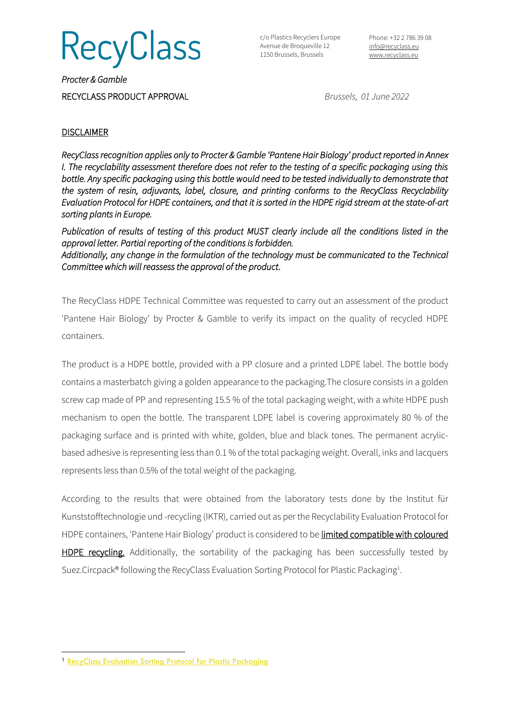**RecyClass** 

c/o Plastics Recyclers Europe Avenue de Broqueville 12 1150 Brussels, Brussels

Phone: +32 2 786 39 08 [info@recyclass.eu](mailto:info@recyclass.eu) [www.recyclass.eu](http://www.recyclass.eu/)

*Procter & Gamble*  RECYCLASS PRODUCT APPROVAL *Brussels, 01 June 2022*

## **DISCLAIMER**

*RecyClass recognition applies only to Procter & Gamble 'Pantene Hair Biology' product reported in Annex I. The recyclability assessment therefore does not refer to the testing of a specific packaging using this bottle. Any specific packaging using this bottle would need to be tested individually to demonstrate that the system of resin, adjuvants, label, closure, and printing conforms to the RecyClass Recyclability Evaluation Protocol for HDPE containers, and that it is sorted in the HDPE rigid stream at the state-of-art sorting plants in Europe.* 

*Publication of results of testing of this product MUST clearly include all the conditions listed in the approval letter. Partial reporting of the conditions is forbidden. Additionally, any change in the formulation of the technology must be communicated to the Technical Committee which will reassess the approval of the product*.

The RecyClass HDPE Technical Committee was requested to carry out an assessment of the product 'Pantene Hair Biology' byProcter & Gamble to verify its impact on the quality of recycled HDPE containers.

The product is a HDPE bottle, provided with a PP closure and a printed LDPE label. The bottle body contains a masterbatch giving a golden appearance to the packaging.The closure consists in a golden screw cap made of PP and representing 15.5 % of the total packaging weight, with a white HDPE push mechanism to open the bottle. The transparent LDPE label is covering approximately 80 % of the packaging surface and is printed with white, golden, blue and black tones. The permanent acrylicbased adhesive is representing less than 0.1 % of the total packaging weight. Overall, inks and lacquers represents less than 0.5% of the total weight of the packaging.

According to the results that were obtained from the laboratory tests done by the Institut für Kunststofftechnologie und -recycling (IKTR), carried out as per the Recyclability Evaluation Protocol for HDPE containers, 'Pantene Hair Biology' product is considered to be limited compatible with coloured HDPE recycling. Additionally, the sortability of the packaging has been successfully tested by Suez.Circpack® following the RecyClass Evaluation Sorting Protocol for Plastic Packaging<sup>1</sup>.

<sup>&</sup>lt;sup>1</sup> [RecyClass Evaluation Sorting Protocol for Plastic Packaging](https://recyclass.eu/recyclability/test-methods/)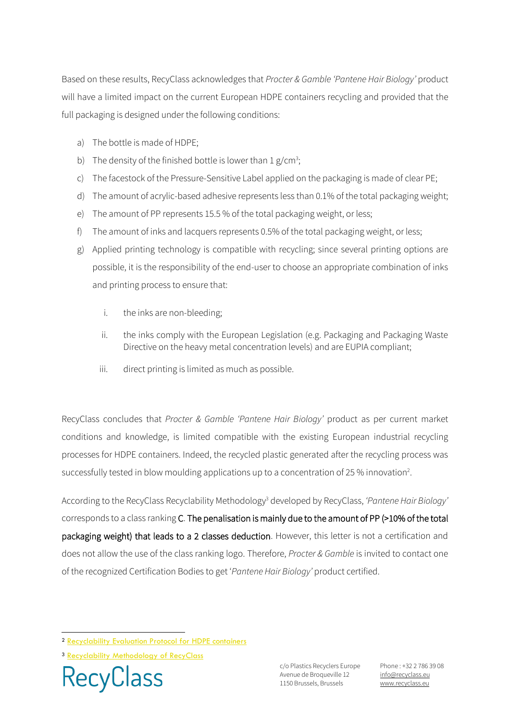Based on these results, RecyClass acknowledges that *Procter & Gamble 'Pantene Hair Biology'* product will have a limited impact on the current European HDPE containers recycling and provided that the full packaging is designed under the following conditions:

- a) The bottle is made of HDPE;
- b) The density of the finished bottle is lower than  $1 g/cm<sup>3</sup>$ ;
- c) The facestock of the Pressure-Sensitive Label applied on the packaging is made of clear PE;
- d) The amount of acrylic-based adhesive represents less than 0.1% of the total packaging weight;
- e) The amount of PP represents 15.5 % of the total packaging weight, or less;
- f) The amount of inks and lacquers represents 0.5% of the total packaging weight, or less;
- g) Applied printing technology is compatible with recycling; since several printing options are possible, it is the responsibility of the end-user to choose an appropriate combination of inks and printing process to ensure that:
	- i. the inks are non-bleeding;
	- ii. the inks comply with the European Legislation (e.g. Packaging and Packaging Waste Directive on the heavy metal concentration levels) and are EUPIA compliant;
	- iii. direct printing is limited as much as possible.

RecyClass concludes that *Procter & Gamble 'Pantene Hair Biology'* product as per current market conditions and knowledge, is limited compatible with the existing European industrial recycling processes for HDPE containers. Indeed, the recycled plastic generated after the recycling process was successfully tested in blow moulding applications up to a concentration of 25 % innovation<sup>2</sup>.

According to the RecyClass Recyclability Methodology<sup>3</sup> developed by RecyClass, *'Pantene Hair Biology'*  corresponds to a class ranking C. The penalisation is mainly due to the amount of PP (>10% of the total packaging weight) that leads to a 2 classes deduction. However, this letter is not a certification and does not allow the use of the class ranking logo. Therefore, *Procter & Gamble* is invited to contact one of the recognized Certification Bodies to get '*Pantene Hair Biology'* product certified.

**RecyClass** 

c/o Plastics Recyclers Europe Avenue de Broqueville 12 1150 Brussels, Brussels

Phone : +32 2 786 39 08 info[@recyclass.eu](mailto:recyclass@plasticsrecyclers.eu) www.recyclass.eu

<sup>2</sup> [Recyclability Evaluation Protocol for HDPE containers](https://recyclass.eu/recyclability/test-methods/)

<sup>3</sup> [Recyclability Methodology of RecyClass](https://recyclass.eu/recyclass/methodology/)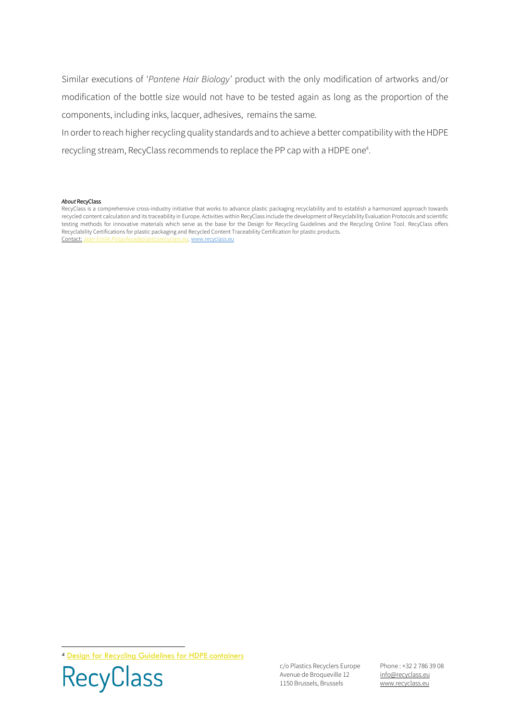Similar executions of '*Pantene Hair Biology'* product with the only modification of artworks and/or modification of the bottle size would not have to be tested again as long as the proportion of the components, including inks, lacquer, adhesives, remains the same.

In order to reach higher recycling quality standards and to achieve a better compatibilitywith the HDPE recycling stream, RecyClass recommends to replace the PP cap with a HDPE one<sup>4</sup>.

## *About* RecyClass

RecyClass is a comprehensive cross-industry initiative that works to advance plastic packaging recyclability and to establish a harmonized approach towards recycled content calculation and its traceability in Europe. Activities within RecyClass include the development of Recyclability Evaluation Protocols and scientific testing methods for innovative materials which serve as the base for the Design for Recycling Guidelines and the Recycling Online Tool. RecyClass offers Recyclability Certifications for plastic packaging and Recycled Content Traceability Certification for plastic products. Contact: [Jean-Emile.Potaufeux@plasticsrecyclers.eu,](mailto:Jean-Emile.Potaufeux@plasticsrecyclers.eu) [www.recyclass.eu](http://www.recyclass.eu/)

<sup>4</sup> [Design for Recycling Guidelines for HDPE containers](https://recyclass.eu/recyclability/design-for-recycling-guidelines/)



c/o Plastics Recyclers Europe Avenue de Broqueville 12 1150 Brussels, Brussels

Phone : +32 2 786 39 08 info[@recyclass.eu](mailto:recyclass@plasticsrecyclers.eu) www.recyclass.eu